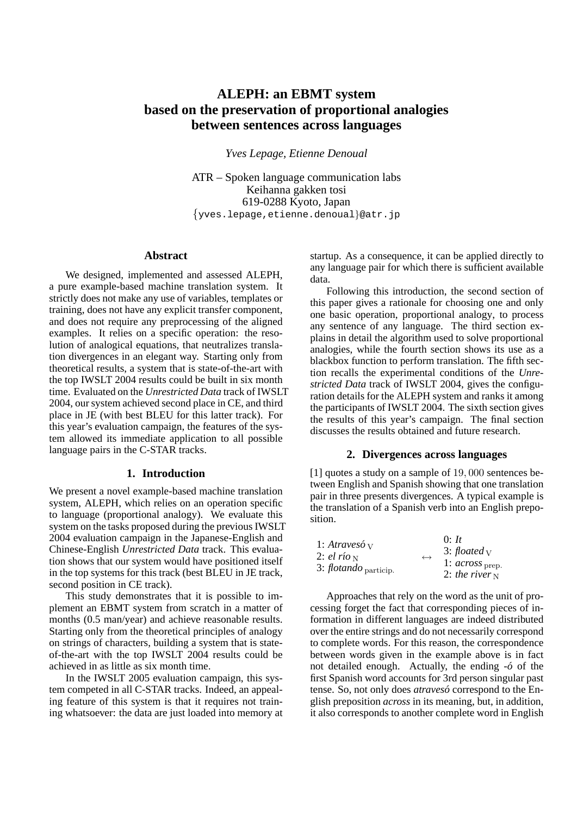# **ALEPH: an EBMT system based on the preservation of proportional analogies between sentences across languages**

*Yves Lepage, Etienne Denoual*

ATR – Spoken language communication labs Keihanna gakken tosi 619-0288 Kyoto, Japan {yves.lepage,etienne.denoual}@atr.jp

#### **Abstract**

We designed, implemented and assessed ALEPH, a pure example-based machine translation system. It strictly does not make any use of variables, templates or training, does not have any explicit transfer component, and does not require any preprocessing of the aligned examples. It relies on a specific operation: the resolution of analogical equations, that neutralizes translation divergences in an elegant way. Starting only from theoretical results, a system that is state-of-the-art with the top IWSLT 2004 results could be built in six month time. Evaluated on the *Unrestricted Data* track of IWSLT 2004, our system achieved second place in CE, and third place in JE (with best BLEU for this latter track). For this year's evaluation campaign, the features of the system allowed its immediate application to all possible language pairs in the C-STAR tracks.

## **1. Introduction**

We present a novel example-based machine translation system, ALEPH, which relies on an operation specific to language (proportional analogy). We evaluate this system on the tasks proposed during the previous IWSLT 2004 evaluation campaign in the Japanese-English and Chinese-English *Unrestricted Data* track. This evaluation shows that our system would have positioned itself in the top systems for this track (best BLEU in JE track, second position in CE track).

This study demonstrates that it is possible to implement an EBMT system from scratch in a matter of months (0.5 man/year) and achieve reasonable results. Starting only from the theoretical principles of analogy on strings of characters, building a system that is stateof-the-art with the top IWSLT 2004 results could be achieved in as little as six month time.

In the IWSLT 2005 evaluation campaign, this system competed in all C-STAR tracks. Indeed, an appealing feature of this system is that it requires not training whatsoever: the data are just loaded into memory at startup. As a consequence, it can be applied directly to any language pair for which there is sufficient available data.

Following this introduction, the second section of this paper gives a rationale for choosing one and only one basic operation, proportional analogy, to process any sentence of any language. The third section explains in detail the algorithm used to solve proportional analogies, while the fourth section shows its use as a blackbox function to perform translation. The fifth section recalls the experimental conditions of the *Unrestricted Data* track of IWSLT 2004, gives the configuration details for the ALEPH system and ranks it among the participants of IWSLT 2004. The sixth section gives the results of this year's campaign. The final section discusses the results obtained and future research.

# **2. Divergences across languages**

[1] quotes a study on a sample of 19, 000 sentences between English and Spanish showing that one translation pair in three presents divergences. A typical example is the translation of a Spanish verb into an English preposition.

| 1: Atravesó $\overline{v}$<br>2: el río $\overline{N}$<br>3: flotando $_{\text{particip.}}$ | $\leftrightarrow$ | $0:$ It<br>3: floated $\overline{V}$<br>1: $across$ prep.<br>2: the river $_N$ |
|---------------------------------------------------------------------------------------------|-------------------|--------------------------------------------------------------------------------|
|                                                                                             |                   |                                                                                |

Approaches that rely on the word as the unit of processing forget the fact that corresponding pieces of information in different languages are indeed distributed over the entire strings and do not necessarily correspond to complete words. For this reason, the correspondence between words given in the example above is in fact not detailed enough. Actually, the ending  $-6$  of the first Spanish word accounts for 3rd person singular past tense. So, not only does *atraves´o* correspond to the English preposition *across* in its meaning, but, in addition, it also corresponds to another complete word in English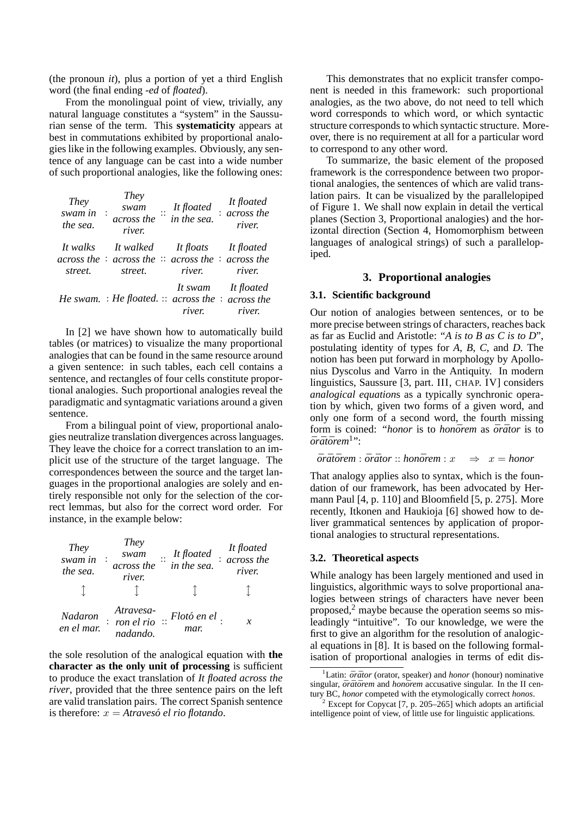(the pronoun *it*), plus a portion of yet a third English word (the final ending *-ed* of *floated*).

From the monolingual point of view, trivially, any natural language constitutes a "system" in the Saussurian sense of the term. This **systematicity** appears at best in commutations exhibited by proportional analogies like in the following examples. Obviously, any sentence of any language can be cast into a wide number of such proportional analogies, like the following ones:

| <b>They</b><br>swam in<br>the sea. | <b>They</b><br>swam<br>across the<br>river.                                                                        | $\therefore$ It floated<br>in the sea. | It floated<br>across the<br>river. |
|------------------------------------|--------------------------------------------------------------------------------------------------------------------|----------------------------------------|------------------------------------|
| street.                            | It walks It walked It floats It floated<br>across the : across the $\therefore$ across the : across the<br>street. | river.                                 | river.                             |
|                                    | He swam. : He floated. $\therefore$ across the $\therefore$ across the                                             | <i>river.</i>                          | It swam It floated<br>river        |

In [2] we have shown how to automatically build tables (or matrices) to visualize the many proportional analogies that can be found in the same resource around a given sentence: in such tables, each cell contains a sentence, and rectangles of four cells constitute proportional analogies. Such proportional analogies reveal the paradigmatic and syntagmatic variations around a given sentence.

From a bilingual point of view, proportional analogies neutralize translation divergences across languages. They leave the choice for a correct translation to an implicit use of the structure of the target language. The correspondences between the source and the target languages in the proportional analogies are solely and entirely responsible not only for the selection of the correct lemmas, but also for the correct word order. For instance, in the example below:

| <b>They</b><br>swam in<br>the sea. | <b>They</b><br>swam<br>across the<br>river. | $\therefore$ It floated<br>$\therefore$ in the sea. | It floated<br>across the<br>river. |
|------------------------------------|---------------------------------------------|-----------------------------------------------------|------------------------------------|
|                                    |                                             |                                                     |                                    |
| Nadaron<br>en el mar.              | Atravesa-<br>ron el rio<br>nadando.         | Flotó en el<br>mar.                                 | $\boldsymbol{\chi}$                |

the sole resolution of the analogical equation with **the character as the only unit of processing** is sufficient to produce the exact translation of *It floated across the river*, provided that the three sentence pairs on the left are valid translation pairs. The correct Spanish sentence is therefore:  $x = A$ *travesó el rio flotando*.

This demonstrates that no explicit transfer component is needed in this framework: such proportional analogies, as the two above, do not need to tell which word corresponds to which word, or which syntactic structure corresponds to which syntactic structure. Moreover, there is no requirement at all for a particular word to correspond to any other word.

To summarize, the basic element of the proposed framework is the correspondence between two proportional analogies, the sentences of which are valid translation pairs. It can be visualized by the parallelopiped of Figure 1. We shall now explain in detail the vertical planes (Section 3, Proportional analogies) and the horizontal direction (Section 4, Homomorphism between languages of analogical strings) of such a parallelopiped.

# **3. Proportional analogies**

# **3.1. Scientific background**

Our notion of analogies between sentences, or to be more precise between strings of characters, reaches back as far as Euclid and Aristotle: "*A is to B as C is to D*", postulating identity of types for *A*, *B*, *C*, and *D*. The notion has been put forward in morphology by Apollonius Dyscolus and Varro in the Antiquity. In modern linguistics, Saussure [3, part. III, CHAP. IV] considers *analogical equation*s as a typically synchronic operation by which, given two forms of a given word, and only one form of a second word, the fourth missing form is coined: "*honor* is to *honorem* as *orator* is to  $\bar{o}$ rātōrem<sup>1</sup>":

 $\bar{\sigma}$ *rātōrem* :  $\bar{\sigma}$ *rātor* :: *honōrem* :  $x \Rightarrow x = \text{honor}$ 

That analogy applies also to syntax, which is the foundation of our framework, has been advocated by Hermann Paul [4, p. 110] and Bloomfield [5, p. 275]. More recently, Itkonen and Haukioja [6] showed how to deliver grammatical sentences by application of proportional analogies to structural representations.

# **3.2. Theoretical aspects**

While analogy has been largely mentioned and used in linguistics, algorithmic ways to solve proportional analogies between strings of characters have never been proposed, $<sup>2</sup>$  maybe because the operation seems so mis-</sup> leadingly "intuitive". To our knowledge, we were the first to give an algorithm for the resolution of analogical equations in [8]. It is based on the following formalisation of proportional analogies in terms of edit dis-

<sup>&</sup>lt;sup>1</sup>Latin:  $\bar{o}\bar{r}$ *ator* (orator, speaker) and *honor* (honour) nominative singular,  $\bar{o}r\bar{a}t\bar{o}rem$  and *honorem* accusative singular. In the II century BC, *honor* competed with the etymologically correct *honos*.

 $2$  Except for Copycat [7, p. 205–265] which adopts an artificial intelligence point of view, of little use for linguistic applications.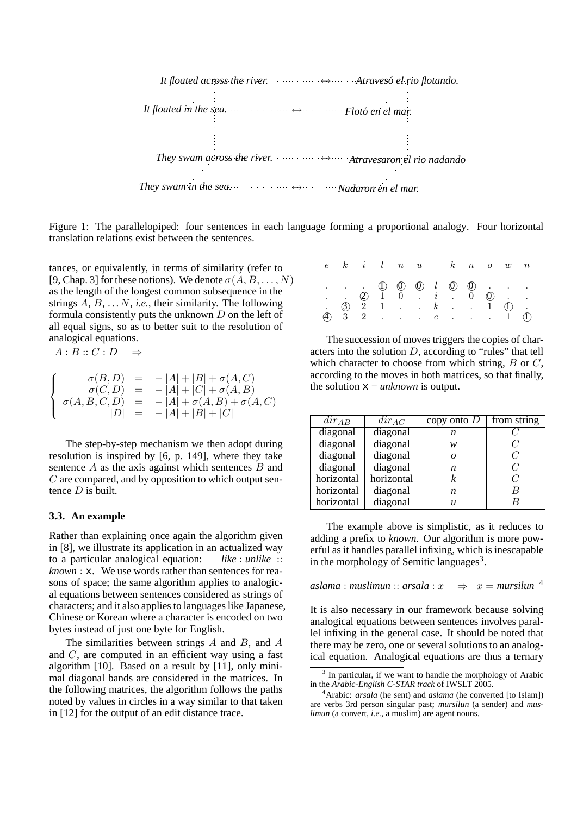

Figure 1: The parallelopiped: four sentences in each language forming a proportional analogy. Four horizontal translation relations exist between the sentences.

tances, or equivalently, in terms of similarity (refer to [9, Chap. 3] for these notions). We denote  $\sigma(A, B, \ldots, N)$ as the length of the longest common subsequence in the strings  $A, B, \ldots N$ , *i.e.*, their similarity. The following formula consistently puts the unknown  $D$  on the left of all equal signs, so as to better suit to the resolution of analogical equations.

 $A : B :: C : D \Rightarrow$ 

$$
\begin{cases}\n\sigma(B, D) &= -|A| + |B| + \sigma(A, C) \\
\sigma(C, D) &= -|A| + |C| + \sigma(A, B) \\
\sigma(A, B, C, D) &= -|A| + \sigma(A, B) + \sigma(A, C) \\
|D| &= -|A| + |B| + |C|\n\end{cases}
$$

The step-by-step mechanism we then adopt during resolution is inspired by [6, p. 149], where they take sentence  $A$  as the axis against which sentences  $B$  and C are compared, and by opposition to which output sentence D is built.

# **3.3. An example**

Rather than explaining once again the algorithm given in [8], we illustrate its application in an actualized way to a particular analogical equation: *like* : *unlike* :: *known* : x. We use words rather than sentences for reasons of space; the same algorithm applies to analogical equations between sentences considered as strings of characters; and it also applies to languages like Japanese, Chinese or Korean where a character is encoded on two bytes instead of just one byte for English.

The similarities between strings A and B, and A and C, are computed in an efficient way using a fast algorithm [10]. Based on a result by [11], only minimal diagonal bands are considered in the matrices. In the following matrices, the algorithm follows the paths noted by values in circles in a way similar to that taken in [12] for the output of an edit distance trace.

|  |  |  | $e \quad k \quad i \quad l \quad n \quad u \qquad k \quad n \quad o \quad w \quad n$                |  |  |
|--|--|--|-----------------------------------------------------------------------------------------------------|--|--|
|  |  |  |                                                                                                     |  |  |
|  |  |  | $\therefore$ $\oslash$ $\bar{1}$ $\bar{0}$ $\cdots$ $\bar{i}$ $\cdots$ $\bar{0}$ $\oslash$ $\cdots$ |  |  |
|  |  |  | $\therefore$ $\circled{3}$ 2 1 k 1 $\circled{1}$ .                                                  |  |  |
|  |  |  |                                                                                                     |  |  |

The succession of moves triggers the copies of characters into the solution  $D$ , according to "rules" that tell which character to choose from which string,  $B$  or  $C$ , according to the moves in both matrices, so that finally, the solution  $x = unknown$  is output.

| $dir_{AB}$ | $dir_{AC}$ | copy onto $D$    | from string   |
|------------|------------|------------------|---------------|
| diagonal   | diagonal   | n                |               |
| diagonal   | diagonal   | w                |               |
| diagonal   | diagonal   | $\Omega$         |               |
| diagonal   | diagonal   | n.               | $\mathcal{C}$ |
| horizontal | horizontal |                  | C             |
| horizontal | diagonal   | n                | B             |
| horizontal | diagonal   | $\boldsymbol{u}$ |               |

The example above is simplistic, as it reduces to adding a prefix to *known*. Our algorithm is more powerful as it handles parallel infixing, which is inescapable in the morphology of Semitic languages<sup>3</sup>.

 $aslama: muslimun::arsala: x \Rightarrow x = mursilun<sup>4</sup>$ 

It is also necessary in our framework because solving analogical equations between sentences involves parallel infixing in the general case. It should be noted that there may be zero, one or several solutions to an analogical equation. Analogical equations are thus a ternary

<sup>&</sup>lt;sup>3</sup> In particular, if we want to handle the morphology of Arabic in the *Arabic-English C-STAR track* of IWSLT 2005.

<sup>4</sup>Arabic: *arsala* (he sent) and *aslama* (he converted [to Islam]) are verbs 3rd person singular past; *mursilun* (a sender) and *muslimun* (a convert, *i.e.*, a muslim) are agent nouns.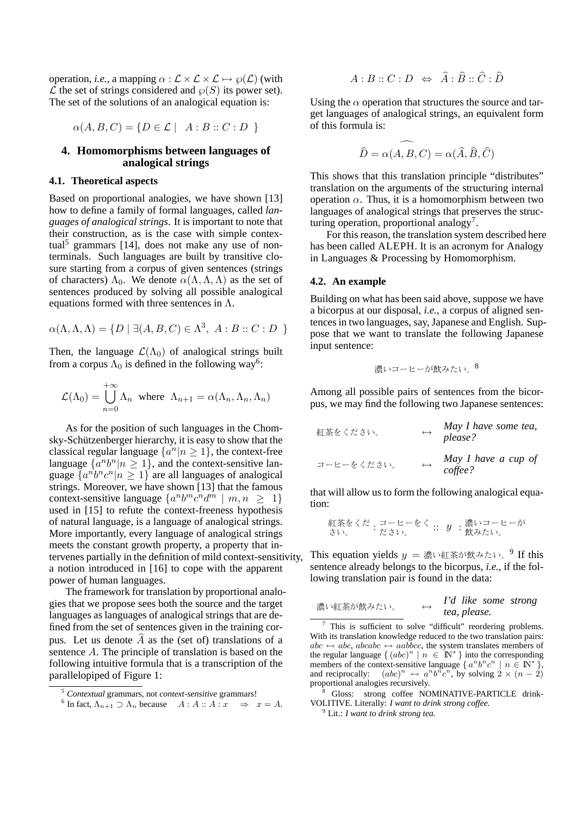operation, *i.e.*, a mapping  $\alpha : \mathcal{L} \times \mathcal{L} \times \mathcal{L} \mapsto \wp(\mathcal{L})$  (with  $\mathcal L$  the set of strings considered and  $\mathcal P(S)$  its power set). The set of the solutions of an analogical equation is:

$$
\alpha(A, B, C) = \{ D \in \mathcal{L} \mid A : B :: C : D \}
$$

# **4. Homomorphisms between languages of analogical strings**

#### **4.1. Theoretical aspects**

Based on proportional analogies, we have shown [13] how to define a family of formal languages, called *languages of analogical strings*. It is important to note that their construction, as is the case with simple contextual<sup>5</sup> grammars [14], does not make any use of nonterminals. Such languages are built by transitive closure starting from a corpus of given sentences (strings of characters)  $\Lambda_0$ . We denote  $\alpha(\Lambda, \Lambda, \Lambda)$  as the set of sentences produced by solving all possible analogical equations formed with three sentences in  $\Lambda$ .

$$
\alpha(\Lambda, \Lambda, \Lambda) = \{ D \mid \exists (A, B, C) \in \Lambda^3, A : B :: C : D \}
$$

Then, the language  $\mathcal{L}(\Lambda_0)$  of analogical strings built from a corpus  $\Lambda_0$  is defined in the following way<sup>6</sup>:

$$
\mathcal{L}(\Lambda_0) = \bigcup_{n=0}^{+\infty} \Lambda_n \text{ where } \Lambda_{n+1} = \alpha(\Lambda_n, \Lambda_n, \Lambda_n)
$$

As for the position of such languages in the Chomsky-Schützenberger hierarchy, it is easy to show that the classical regular language  $\{a^n | n \geq 1\}$ , the context-free language  $\{a^n b^n | n \geq 1\}$ , and the context-sensitive language  $\{a^n b^n c^n | n \geq 1\}$  are all languages of analogical strings. Moreover, we have shown [13] that the famous context-sensitive language  $\{a^nb^mc^nd^m \mid m,n \geq 1\}$ used in [15] to refute the context-freeness hypothesis of natural language, is a language of analogical strings. More importantly, every language of analogical strings meets the constant growth property, a property that intervenes partially in the definition of mild context-sensitivity, a notion introduced in [16] to cope with the apparent power of human languages.

The framework for translation by proportional analogies that we propose sees both the source and the target languages as languages of analogical strings that are defined from the set of sentences given in the training corpus. Let us denote  $\widehat{A}$  as the (set of) translations of a sentence A. The principle of translation is based on the following intuitive formula that is a transcription of the parallelopiped of Figure 1:

$$
A:B::C:D \ \Leftrightarrow \ \widehat{A}:\widehat{B}::\widehat{C}:\widehat{D}
$$

Using the  $\alpha$  operation that structures the source and target languages of analogical strings, an equivalent form of this formula is:

$$
\widehat{D} = \alpha(\widehat{A}, \widehat{B}, C) = \alpha(\widehat{A}, \widehat{B}, \widehat{C})
$$

This shows that this translation principle "distributes" translation on the arguments of the structuring internal operation  $\alpha$ . Thus, it is a homomorphism between two languages of analogical strings that preserves the structuring operation, proportional analogy<sup>7</sup>.

For this reason, the translation system described here has been called ALEPH. It is an acronym for Analogy in Languages & Processing by Homomorphism.

#### **4.2. An example**

Building on what has been said above, suppose we have a bicorpus at our disposal, *i.e.*, a corpus of aligned sentences in two languages, say, Japanese and English. Suppose that we want to translate the following Japanese input sentence:

濃いコーヒーが飲みたい。8

Among all possible pairs of sentences from the bicorpus, we may find the following two Japanese sentences:

$$
May I have some tea,\nplense?\n⇒ 
$$
May I have a cup of\n
$$
coffee?
$$
$$
$$

that will allow us to form the following analogical equation:

紅茶をくだ さい。 : コーヒーをく ださい。 :: <sup>y</sup> : 濃いコーヒーが 飲みたい。

This equation yields  $y = \frac{1}{(a+1)}$  and  $\frac{1}{(a+1)(a+2)}$  of this sentence already belongs to the bicorpus, *i.e.*, if the following translation pair is found in the data:

濃い紅茶が飲みたい。 ↔ *I'd like some strong tea, please.*

This is sufficient to solve "difficult" reordering problems. With its translation knowledge reduced to the two translation pairs:  $abc \leftrightarrow abc$ ,  $abcabc \leftrightarrow aabbcc$ , the system translates members of the regular language  $\{(abc)^n \mid n \in \mathbb{N}^*\}$  into the corresponding members of the context-sensitive language  $\{a^nb^nc^n \mid n \in \mathbb{N}^*\}$ , and reciprocally:  $(abc)^n \leftrightarrow a^n b^n c^n$ , by solving  $2 \times (n-2)$ proportional analogies recursively.

8 Gloss: strong coffee NOMINATIVE-PARTICLE drink-VOLITIVE. Literally: *I want to drink strong coffee.*

<sup>9</sup> Lit.: *I want to drink strong tea.*

<sup>5</sup> *Contextual* grammars, not *context-sensitive* grammars!

<sup>&</sup>lt;sup>6</sup> In fact,  $\Lambda_{n+1} \supset \Lambda_n$  because  $A : A : A : x \Rightarrow x = A$ .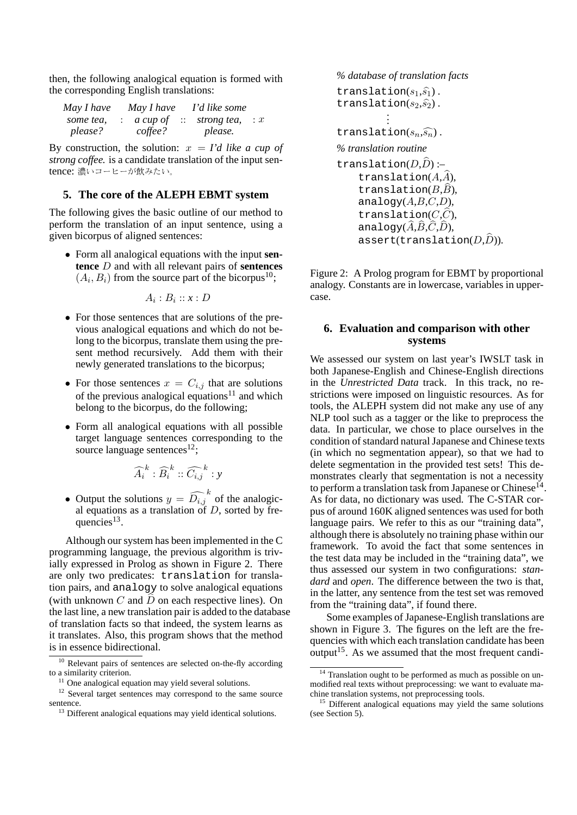then, the following analogical equation is formed with the corresponding English translations:

| May I have | May I have | I'd like some                                  |            |
|------------|------------|------------------------------------------------|------------|
| some tea,  |            | $\therefore$ a cup of $\therefore$ strong tea, | $\colon x$ |
| please?    | coffee?    | please.                                        |            |

By construction, the solution:  $x = I'd$  like a cup of *strong coffee.* is a candidate translation of the input sentence: 濃いコーヒーが飲みたい。

# **5. The core of the ALEPH EBMT system**

The following gives the basic outline of our method to perform the translation of an input sentence, using a given bicorpus of aligned sentences:

• Form all analogical equations with the input **sentence** D and with all relevant pairs of **sentences**  $(A_i, B_i)$  from the source part of the bicorpus<sup>10</sup>;

$$
A_i:B_i::x:D
$$

- For those sentences that are solutions of the previous analogical equations and which do not belong to the bicorpus, translate them using the present method recursively. Add them with their newly generated translations to the bicorpus;
- For those sentences  $x = C_{i,j}$  that are solutions of the previous analogical equations<sup>11</sup> and which belong to the bicorpus, do the following;
- Form all analogical equations with all possible target language sentences corresponding to the source language sentences $^{12}$ ;

$$
\widehat{A_i}^k : \widehat{B_i}^k :: \widehat{C_{i,j}}^k : y
$$

• Output the solutions  $y = \widehat{D_{i,j}}^k$  of the analogical equations as a translation of  $D$ , sorted by frequencies $^{13}$ .

Although our system has been implemented in the C programming language, the previous algorithm is trivially expressed in Prolog as shown in Figure 2. There are only two predicates: translation for translation pairs, and analogy to solve analogical equations (with unknown  $C$  and  $\overline{D}$  on each respective lines). On the last line, a new translation pair is added to the database of translation facts so that indeed, the system learns as it translates. Also, this program shows that the method is in essence bidirectional.

```
% database of translation facts
translation(s_1,\hat{s_1}).
translation(s_2,\hat{s_2}).
              .
              .
              .
translation(s_n,\widehat{s_n}).
% translation routine
translation(D,\widehat{D}) :-
      translation(A,\widehat{A}),
      translation(B.\widehat{B}).
      analogy(A,B,C,D),translation(C,\widehat{C}),
      analogy(\widehat{A},\widehat{B},\widehat{C},\widehat{D}),
      assert(translation(D,\widehat{D})).
```
Figure 2: A Prolog program for EBMT by proportional analogy. Constants are in lowercase, variables in uppercase.

# **6. Evaluation and comparison with other systems**

We assessed our system on last year's IWSLT task in both Japanese-English and Chinese-English directions in the *Unrestricted Data* track. In this track, no restrictions were imposed on linguistic resources. As for tools, the ALEPH system did not make any use of any NLP tool such as a tagger or the like to preprocess the data. In particular, we chose to place ourselves in the condition of standard natural Japanese and Chinese texts (in which no segmentation appear), so that we had to delete segmentation in the provided test sets! This demonstrates clearly that segmentation is not a necessity to perform a translation task from Japanese or Chinese<sup>14</sup>. As for data, no dictionary was used. The C-STAR corpus of around 160K aligned sentences was used for both language pairs. We refer to this as our "training data", although there is absolutely no training phase within our framework. To avoid the fact that some sentences in the test data may be included in the "training data", we thus assessed our system in two configurations: *standard* and *open*. The difference between the two is that, in the latter, any sentence from the test set was removed from the "training data", if found there.

Some examples of Japanese-English translations are shown in Figure 3. The figures on the left are the frequencies with which each translation candidate has been output<sup>15</sup>. As we assumed that the most frequent candi-

 $10$  Relevant pairs of sentences are selected on-the-fly according to a similarity criterion.

 $11$  One analogical equation may yield several solutions.

<sup>&</sup>lt;sup>12</sup> Several target sentences may correspond to the same source sentence.

<sup>&</sup>lt;sup>13</sup> Different analogical equations may yield identical solutions.

<sup>&</sup>lt;sup>14</sup> Translation ought to be performed as much as possible on unmodified real texts without preprocessing: we want to evaluate machine translation systems, not preprocessing tools.

<sup>&</sup>lt;sup>15</sup> Different analogical equations may yield the same solutions (see Section 5).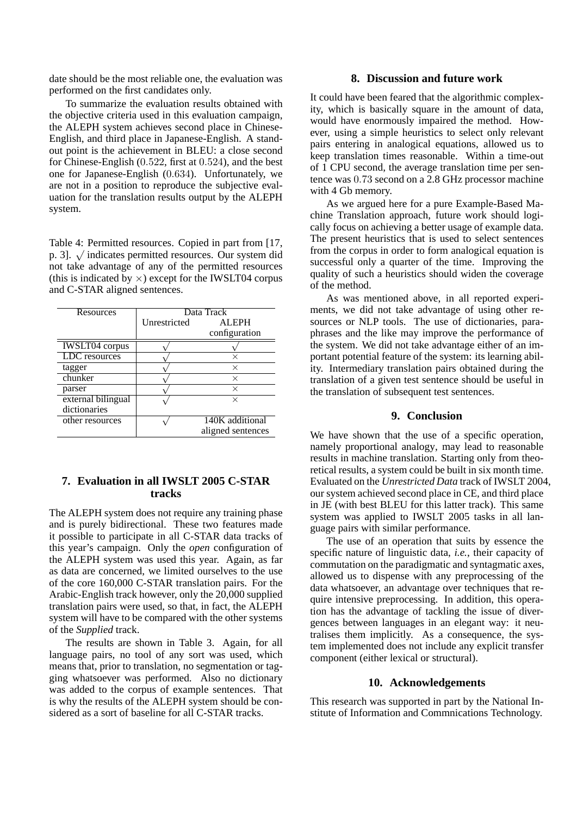date should be the most reliable one, the evaluation was performed on the first candidates only.

To summarize the evaluation results obtained with the objective criteria used in this evaluation campaign, the ALEPH system achieves second place in Chinese-English, and third place in Japanese-English. A standout point is the achievement in BLEU: a close second for Chinese-English (0.522, first at 0.524), and the best one for Japanese-English (0.634). Unfortunately, we are not in a position to reproduce the subjective evaluation for the translation results output by the ALEPH system.

Table 4: Permitted resources. Copied in part from [17, Table 4: Permitted resources. Copied in part from [17, p. 3].  $\sqrt{\ }$  indicates permitted resources. Our system did not take advantage of any of the permitted resources (this is indicated by  $\times$ ) except for the IWSLT04 corpus and C-STAR aligned sentences.

| Resources             | Data Track   |                   |  |  |
|-----------------------|--------------|-------------------|--|--|
|                       | Unrestricted | <b>ALEPH</b>      |  |  |
|                       |              | configuration     |  |  |
| <b>IWSLT04</b> corpus |              |                   |  |  |
| LDC resources         |              | ×                 |  |  |
| tagger                |              | $\times$          |  |  |
| chunker               |              | ×                 |  |  |
| parser                |              | ×                 |  |  |
| external bilingual    |              | X                 |  |  |
| dictionaries          |              |                   |  |  |
| other resources       |              | 140K additional   |  |  |
|                       |              | aligned sentences |  |  |

# **7. Evaluation in all IWSLT 2005 C-STAR tracks**

The ALEPH system does not require any training phase and is purely bidirectional. These two features made it possible to participate in all C-STAR data tracks of this year's campaign. Only the *open* configuration of the ALEPH system was used this year. Again, as far as data are concerned, we limited ourselves to the use of the core 160,000 C-STAR translation pairs. For the Arabic-English track however, only the 20,000 supplied translation pairs were used, so that, in fact, the ALEPH system will have to be compared with the other systems of the *Supplied* track.

The results are shown in Table 3. Again, for all language pairs, no tool of any sort was used, which means that, prior to translation, no segmentation or tagging whatsoever was performed. Also no dictionary was added to the corpus of example sentences. That is why the results of the ALEPH system should be considered as a sort of baseline for all C-STAR tracks.

# **8. Discussion and future work**

It could have been feared that the algorithmic complexity, which is basically square in the amount of data, would have enormously impaired the method. However, using a simple heuristics to select only relevant pairs entering in analogical equations, allowed us to keep translation times reasonable. Within a time-out of 1 CPU second, the average translation time per sentence was 0.73 second on a 2.8 GHz processor machine with 4 Gb memory.

As we argued here for a pure Example-Based Machine Translation approach, future work should logically focus on achieving a better usage of example data. The present heuristics that is used to select sentences from the corpus in order to form analogical equation is successful only a quarter of the time. Improving the quality of such a heuristics should widen the coverage of the method.

As was mentioned above, in all reported experiments, we did not take advantage of using other resources or NLP tools. The use of dictionaries, paraphrases and the like may improve the performance of the system. We did not take advantage either of an important potential feature of the system: its learning ability. Intermediary translation pairs obtained during the translation of a given test sentence should be useful in the translation of subsequent test sentences.

# **9. Conclusion**

We have shown that the use of a specific operation, namely proportional analogy, may lead to reasonable results in machine translation. Starting only from theoretical results, a system could be built in six month time. Evaluated on the *Unrestricted Data* track of IWSLT 2004, our system achieved second place in CE, and third place in JE (with best BLEU for this latter track). This same system was applied to IWSLT 2005 tasks in all language pairs with similar performance.

The use of an operation that suits by essence the specific nature of linguistic data, *i.e.*, their capacity of commutation on the paradigmatic and syntagmatic axes, allowed us to dispense with any preprocessing of the data whatsoever, an advantage over techniques that require intensive preprocessing. In addition, this operation has the advantage of tackling the issue of divergences between languages in an elegant way: it neutralises them implicitly. As a consequence, the system implemented does not include any explicit transfer component (either lexical or structural).

# **10. Acknowledgements**

This research was supported in part by the National Institute of Information and Commnications Technology.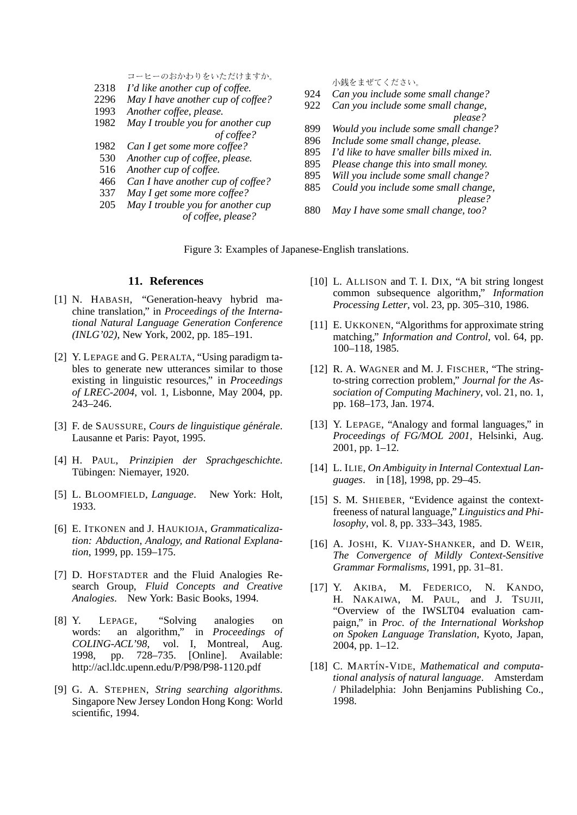コーヒーのおかわりをいただけますか。

- 2318 *I'd like another cup of coffee.*
- 2296 *May I have another cup of coffee?*
- 1993 *Another coffee, please.*
- 1982 *May I trouble you for another cup of coffee?*
- 1982 *Can I get some more coffee?*
- 530 *Another cup of coffee, please.*
- 516 *Another cup of coffee.*
- 466 *Can I have another cup of coffee?*
- 337 *May I get some more coffee?*
- 205 *May I trouble you for another cup of coffee, please?*

小銭をまぜてください。

- 924 *Can you include some small change?*
- 922 *Can you include some small change, please?*
- 899 *Would you include some small change?*
- 896 *Include some small change, please.*
- 895 *I'd like to have smaller bills mixed in.*
- 895 *Please change this into small money.*
- 895 *Will you include some small change?*
- 885 *Could you include some small change, please?*
- 880 *May I have some small change, too?*

Figure 3: Examples of Japanese-English translations.

### **11. References**

- [1] N. HABASH, "Generation-heavy hybrid machine translation," in *Proceedings of the International Natural Language Generation Conference (INLG'02)*, New York, 2002, pp. 185–191.
- [2] Y. LEPAGE and G. PERALTA, "Using paradigm tables to generate new utterances similar to those existing in linguistic resources," in *Proceedings of LREC-2004*, vol. 1, Lisbonne, May 2004, pp. 243–246.
- [3] F. de SAUSSURE, *Cours de linguistique générale*. Lausanne et Paris: Payot, 1995.
- [4] H. PAUL, *Prinzipien der Sprachgeschichte*. Tübingen: Niemayer, 1920.
- [5] L. BLOOMFIELD, *Language*. New York: Holt, 1933.
- [6] E. ITKONEN and J. HAUKIOJA, *Grammaticalization: Abduction, Analogy, and Rational Explanation*, 1999, pp. 159–175.
- [7] D. HOFSTADTER and the Fluid Analogies Research Group, *Fluid Concepts and Creative Analogies*. New York: Basic Books, 1994.
- [8] Y. LEPAGE, "Solving analogies on words: an algorithm," in *Proceedings of COLING-ACL'98*, vol. I, Montreal, Aug. 1998, pp. 728–735. [Online]. Available: http://acl.ldc.upenn.edu/P/P98/P98-1120.pdf
- [9] G. A. STEPHEN, *String searching algorithms*. Singapore New Jersey London Hong Kong: World scientific, 1994.
- [10] L. ALLISON and T. I. DIX, "A bit string longest common subsequence algorithm," *Information Processing Letter*, vol. 23, pp. 305–310, 1986.
- [11] E. UKKONEN, "Algorithms for approximate string matching," *Information and Control*, vol. 64, pp. 100–118, 1985.
- [12] R. A. WAGNER and M. J. FISCHER, "The stringto-string correction problem," *Journal for the Association of Computing Machinery*, vol. 21, no. 1, pp. 168–173, Jan. 1974.
- [13] Y. LEPAGE, "Analogy and formal languages," in *Proceedings of FG/MOL 2001*, Helsinki, Aug. 2001, pp. 1–12.
- [14] L. ILIE, *On Ambiguity in Internal Contextual Languages*. in [18], 1998, pp. 29–45.
- [15] S. M. SHIEBER, "Evidence against the contextfreeness of natural language," *Linguistics and Philosophy*, vol. 8, pp. 333–343, 1985.
- [16] A. JOSHI, K. VIJAY-SHANKER, and D. WEIR, *The Convergence of Mildly Context-Sensitive Grammar Formalisms*, 1991, pp. 31–81.
- [17] Y. AKIBA, M. FEDERICO, N. KANDO, H. NAKAIWA, M. PAUL, and J. TSUJII, "Overview of the IWSLT04 evaluation campaign," in *Proc. of the International Workshop on Spoken Language Translation*, Kyoto, Japan, 2004, pp. 1–12.
- [18] C. MARTÍN-VIDE, *Mathematical and computational analysis of natural language*. Amsterdam / Philadelphia: John Benjamins Publishing Co., 1998.